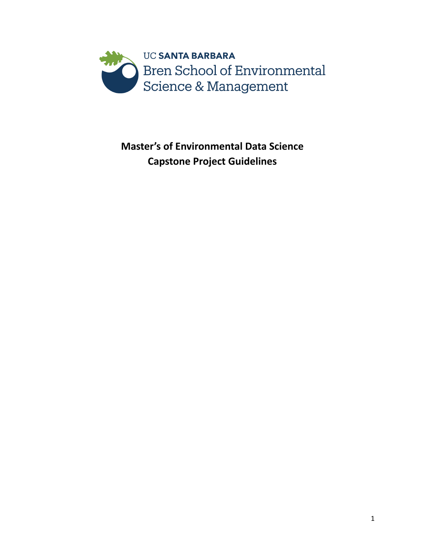

**Master's of Environmental Data Science Capstone Project Guidelines**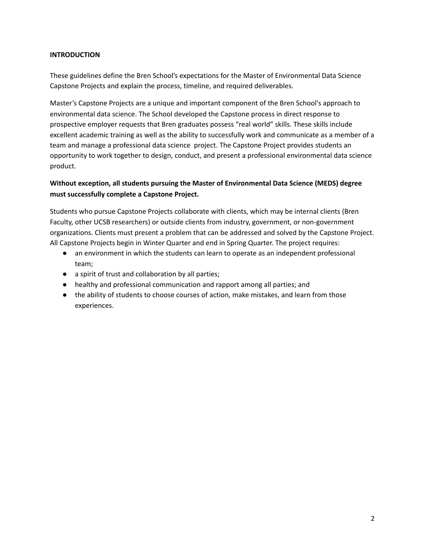### **INTRODUCTION**

These guidelines define the Bren School's expectations for the Master of Environmental Data Science Capstone Projects and explain the process, timeline, and required deliverables.

Master's Capstone Projects are a unique and important component of the Bren School's approach to environmental data science. The School developed the Capstone process in direct response to prospective employer requests that Bren graduates possess "real world" skills. These skills include excellent academic training as well as the ability to successfully work and communicate as a member of a team and manage a professional data science project. The Capstone Project provides students an opportunity to work together to design, conduct, and present a professional environmental data science product.

# **Without exception, all students pursuing the Master of Environmental Data Science (MEDS) degree must successfully complete a Capstone Project.**

Students who pursue Capstone Projects collaborate with clients, which may be internal clients (Bren Faculty, other UCSB researchers) or outside clients from industry, government, or non-government organizations. Clients must present a problem that can be addressed and solved by the Capstone Project. All Capstone Projects begin in Winter Quarter and end in Spring Quarter. The project requires:

- an environment in which the students can learn to operate as an independent professional team;
- a spirit of trust and collaboration by all parties;
- healthy and professional communication and rapport among all parties; and
- the ability of students to choose courses of action, make mistakes, and learn from those experiences.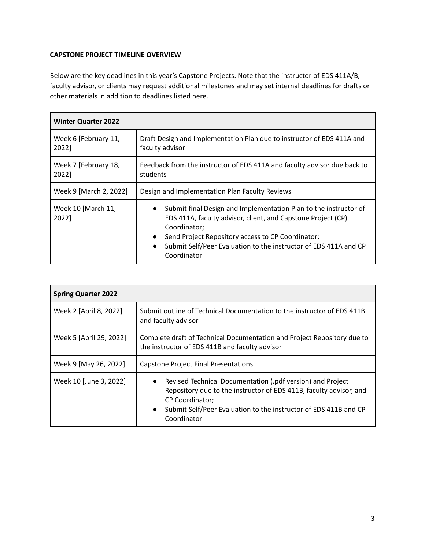# **CAPSTONE PROJECT TIMELINE OVERVIEW**

Below are the key deadlines in this year's Capstone Projects. Note that the instructor of EDS 411A/B, faculty advisor, or clients may request additional milestones and may set internal deadlines for drafts or other materials in addition to deadlines listed here.

| <b>Winter Quarter 2022</b>    |                                                                                                                                                                                                                                                                                                                    |
|-------------------------------|--------------------------------------------------------------------------------------------------------------------------------------------------------------------------------------------------------------------------------------------------------------------------------------------------------------------|
| Week 6 [February 11,<br>2022] | Draft Design and Implementation Plan due to instructor of EDS 411A and<br>faculty advisor                                                                                                                                                                                                                          |
| Week 7 [February 18,<br>2022] | Feedback from the instructor of EDS 411A and faculty advisor due back to<br>students                                                                                                                                                                                                                               |
| Week 9 [March 2, 2022]        | Design and Implementation Plan Faculty Reviews                                                                                                                                                                                                                                                                     |
| Week 10 [March 11,<br>2022]   | Submit final Design and Implementation Plan to the instructor of<br>$\bullet$<br>EDS 411A, faculty advisor, client, and Capstone Project (CP)<br>Coordinator;<br>Send Project Repository access to CP Coordinator;<br>$\bullet$<br>Submit Self/Peer Evaluation to the instructor of EDS 411A and CP<br>Coordinator |

| <b>Spring Quarter 2022</b> |                                                                                                                                                                                                                                                            |  |
|----------------------------|------------------------------------------------------------------------------------------------------------------------------------------------------------------------------------------------------------------------------------------------------------|--|
| Week 2 [April 8, 2022]     | Submit outline of Technical Documentation to the instructor of EDS 411B<br>and faculty advisor                                                                                                                                                             |  |
| Week 5 [April 29, 2022]    | Complete draft of Technical Documentation and Project Repository due to<br>the instructor of EDS 411B and faculty advisor                                                                                                                                  |  |
| Week 9 [May 26, 2022]      | Capstone Project Final Presentations                                                                                                                                                                                                                       |  |
| Week 10 [June 3, 2022]     | Revised Technical Documentation (.pdf version) and Project<br>Repository due to the instructor of EDS 411B, faculty advisor, and<br><b>CP Coordinator;</b><br>Submit Self/Peer Evaluation to the instructor of EDS 411B and CP<br>$\bullet$<br>Coordinator |  |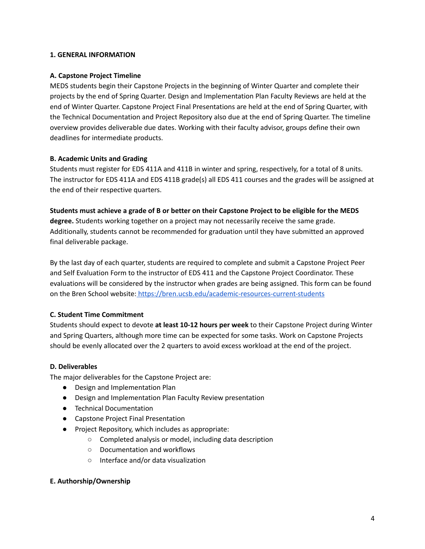#### **1. GENERAL INFORMATION**

#### **A. Capstone Project Timeline**

MEDS students begin their Capstone Projects in the beginning of Winter Quarter and complete their projects by the end of Spring Quarter. Design and Implementation Plan Faculty Reviews are held at the end of Winter Quarter. Capstone Project Final Presentations are held at the end of Spring Quarter, with the Technical Documentation and Project Repository also due at the end of Spring Quarter. The timeline overview provides deliverable due dates. Working with their faculty advisor, groups define their own deadlines for intermediate products.

### **B. Academic Units and Grading**

Students must register for EDS 411A and 411B in winter and spring, respectively, for a total of 8 units. The instructor for EDS 411A and EDS 411B grade(s) all EDS 411 courses and the grades will be assigned at the end of their respective quarters.

#### Students must achieve a grade of B or better on their Capstone Project to be eligible for the MEDS

**degree.** Students working together on a project may not necessarily receive the same grade. Additionally, students cannot be recommended for graduation until they have submitted an approved final deliverable package.

By the last day of each quarter, students are required to complete and submit a Capstone Project Peer and Self Evaluation Form to the instructor of EDS 411 and the Capstone Project Coordinator. These evaluations will be considered by the instructor when grades are being assigned. This form can be found on the Bren School website: <https://bren.ucsb.edu/academic-resources-current-students>

# **C. Student Time Commitment**

Students should expect to devote **at least 10-12 hours per week** to their Capstone Project during Winter and Spring Quarters, although more time can be expected for some tasks. Work on Capstone Projects should be evenly allocated over the 2 quarters to avoid excess workload at the end of the project.

#### **D. Deliverables**

The major deliverables for the Capstone Project are:

- Design and Implementation Plan
- Design and Implementation Plan Faculty Review presentation
- Technical Documentation
- Capstone Project Final Presentation
- Project Repository, which includes as appropriate:
	- Completed analysis or model, including data description
	- Documentation and workflows
	- Interface and/or data visualization

#### **E. Authorship/Ownership**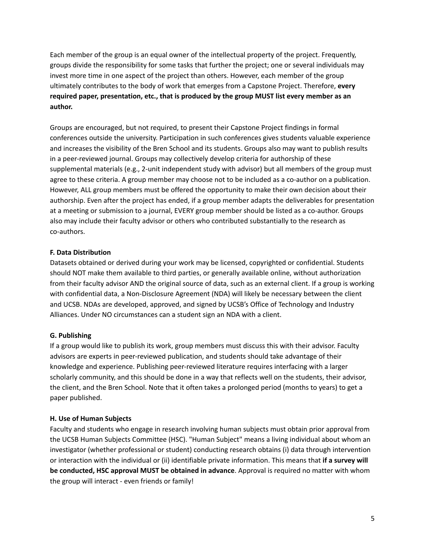Each member of the group is an equal owner of the intellectual property of the project. Frequently, groups divide the responsibility for some tasks that further the project; one or several individuals may invest more time in one aspect of the project than others. However, each member of the group ultimately contributes to the body of work that emerges from a Capstone Project. Therefore, **every required paper, presentation, etc., that is produced by the group MUST list every member as an author.**

Groups are encouraged, but not required, to present their Capstone Project findings in formal conferences outside the university. Participation in such conferences gives students valuable experience and increases the visibility of the Bren School and its students. Groups also may want to publish results in a peer-reviewed journal. Groups may collectively develop criteria for authorship of these supplemental materials (e.g., 2-unit independent study with advisor) but all members of the group must agree to these criteria. A group member may choose not to be included as a co-author on a publication. However, ALL group members must be offered the opportunity to make their own decision about their authorship. Even after the project has ended, if a group member adapts the deliverables for presentation at a meeting or submission to a journal, EVERY group member should be listed as a co-author. Groups also may include their faculty advisor or others who contributed substantially to the research as co-authors.

### **F. Data Distribution**

Datasets obtained or derived during your work may be licensed, copyrighted or confidential. Students should NOT make them available to third parties, or generally available online, without authorization from their faculty advisor AND the original source of data, such as an external client. If a group is working with confidential data, a Non-Disclosure Agreement (NDA) will likely be necessary between the client and UCSB. NDAs are developed, approved, and signed by UCSB's Office of Technology and Industry Alliances. Under NO circumstances can a student sign an NDA with a client.

# **G. Publishing**

If a group would like to publish its work, group members must discuss this with their advisor. Faculty advisors are experts in peer-reviewed publication, and students should take advantage of their knowledge and experience. Publishing peer-reviewed literature requires interfacing with a larger scholarly community, and this should be done in a way that reflects well on the students, their advisor, the client, and the Bren School. Note that it often takes a prolonged period (months to years) to get a paper published.

# **H. Use of Human Subjects**

Faculty and students who engage in research involving human subjects must obtain prior approval from the UCSB Human Subjects Committee (HSC). "Human Subject" means a living individual about whom an investigator (whether professional or student) conducting research obtains (i) data through intervention or interaction with the individual or (ii) identifiable private information. This means that **if a survey will be conducted, HSC approval MUST be obtained in advance**. Approval is required no matter with whom the group will interact - even friends or family!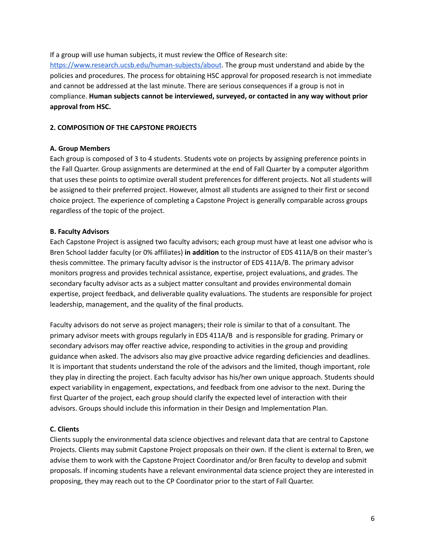If a group will use human subjects, it must review the Office of Research site:

<https://www.research.ucsb.edu/human-subjects/about>. The group must understand and abide by the policies and procedures. The process for obtaining HSC approval for proposed research is not immediate and cannot be addressed at the last minute. There are serious consequences if a group is not in compliance. **Human subjects cannot be interviewed, surveyed, or contacted in any way without prior approval from HSC.**

#### **2. COMPOSITION OF THE CAPSTONE PROJECTS**

#### **A. Group Members**

Each group is composed of 3 to 4 students. Students vote on projects by assigning preference points in the Fall Quarter. Group assignments are determined at the end of Fall Quarter by a computer algorithm that uses these points to optimize overall student preferences for different projects. Not all students will be assigned to their preferred project. However, almost all students are assigned to their first or second choice project. The experience of completing a Capstone Project is generally comparable across groups regardless of the topic of the project.

### **B. Faculty Advisors**

Each Capstone Project is assigned two faculty advisors; each group must have at least one advisor who is Bren School ladder faculty (or 0% affiliates) **in addition** to the instructor of EDS 411A/B on their master's thesis committee. The primary faculty advisor is the instructor of EDS 411A/B. The primary advisor monitors progress and provides technical assistance, expertise, project evaluations, and grades. The secondary faculty advisor acts as a subject matter consultant and provides environmental domain expertise, project feedback, and deliverable quality evaluations. The students are responsible for project leadership, management, and the quality of the final products.

Faculty advisors do not serve as project managers; their role is similar to that of a consultant. The primary advisor meets with groups regularly in EDS 411A/B and is responsible for grading. Primary or secondary advisors may offer reactive advice, responding to activities in the group and providing guidance when asked. The advisors also may give proactive advice regarding deficiencies and deadlines. It is important that students understand the role of the advisors and the limited, though important, role they play in directing the project. Each faculty advisor has his/her own unique approach. Students should expect variability in engagement, expectations, and feedback from one advisor to the next. During the first Quarter of the project, each group should clarify the expected level of interaction with their advisors. Groups should include this information in their Design and Implementation Plan.

# **C. Clients**

Clients supply the environmental data science objectives and relevant data that are central to Capstone Projects. Clients may submit Capstone Project proposals on their own. If the client is external to Bren, we advise them to work with the Capstone Project Coordinator and/or Bren faculty to develop and submit proposals. If incoming students have a relevant environmental data science project they are interested in proposing, they may reach out to the CP Coordinator prior to the start of Fall Quarter.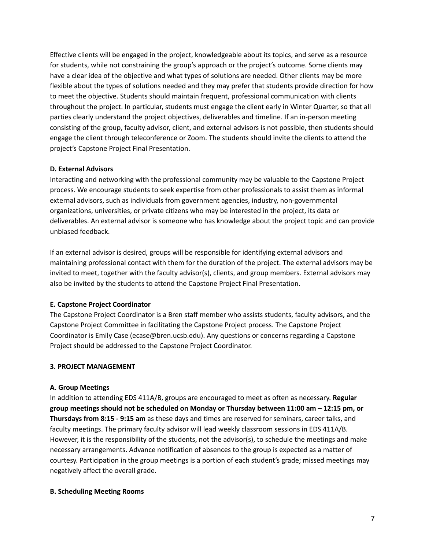Effective clients will be engaged in the project, knowledgeable about its topics, and serve as a resource for students, while not constraining the group's approach or the project's outcome. Some clients may have a clear idea of the objective and what types of solutions are needed. Other clients may be more flexible about the types of solutions needed and they may prefer that students provide direction for how to meet the objective. Students should maintain frequent, professional communication with clients throughout the project. In particular, students must engage the client early in Winter Quarter, so that all parties clearly understand the project objectives, deliverables and timeline. If an in-person meeting consisting of the group, faculty advisor, client, and external advisors is not possible, then students should engage the client through teleconference or Zoom. The students should invite the clients to attend the project's Capstone Project Final Presentation.

### **D. External Advisors**

Interacting and networking with the professional community may be valuable to the Capstone Project process. We encourage students to seek expertise from other professionals to assist them as informal external advisors, such as individuals from government agencies, industry, non-governmental organizations, universities, or private citizens who may be interested in the project, its data or deliverables. An external advisor is someone who has knowledge about the project topic and can provide unbiased feedback.

If an external advisor is desired, groups will be responsible for identifying external advisors and maintaining professional contact with them for the duration of the project. The external advisors may be invited to meet, together with the faculty advisor(s), clients, and group members. External advisors may also be invited by the students to attend the Capstone Project Final Presentation.

# **E. Capstone Project Coordinator**

The Capstone Project Coordinator is a Bren staff member who assists students, faculty advisors, and the Capstone Project Committee in facilitating the Capstone Project process. The Capstone Project Coordinator is Emily Case (ecase@bren.ucsb.edu). Any questions or concerns regarding a Capstone Project should be addressed to the Capstone Project Coordinator.

#### **3. PROJECT MANAGEMENT**

#### **A. Group Meetings**

In addition to attending EDS 411A/B, groups are encouraged to meet as often as necessary. **Regular group meetings should not be scheduled on Monday or Thursday between 11:00 am – 12:15 pm, or Thursdays from 8:15 - 9:15 am** as these days and times are reserved for seminars, career talks, and faculty meetings. The primary faculty advisor will lead weekly classroom sessions in EDS 411A/B. However, it is the responsibility of the students, not the advisor(s), to schedule the meetings and make necessary arrangements. Advance notification of absences to the group is expected as a matter of courtesy. Participation in the group meetings is a portion of each student's grade; missed meetings may negatively affect the overall grade.

#### **B. Scheduling Meeting Rooms**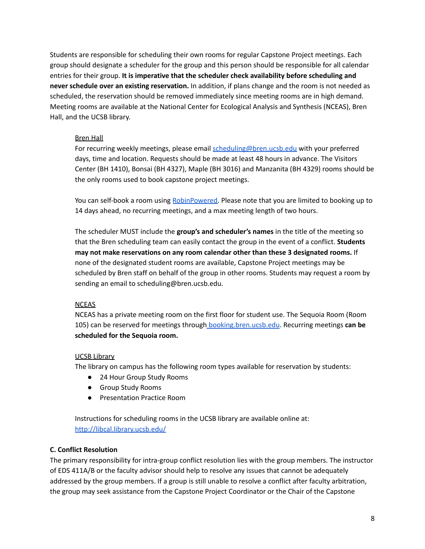Students are responsible for scheduling their own rooms for regular Capstone Project meetings. Each group should designate a scheduler for the group and this person should be responsible for all calendar entries for their group. **It is imperative that the scheduler check availability before scheduling and never schedule over an existing reservation.** In addition, if plans change and the room is not needed as scheduled, the reservation should be removed immediately since meeting rooms are in high demand. Meeting rooms are available at the National Center for Ecological Analysis and Synthesis (NCEAS), Bren Hall, and the UCSB library.

# Bren Hall

For recurring weekly meetings, please email [scheduling@bren.ucsb.edu](mailto:scheduling@bren.ucsb.edu) with your preferred days, time and location. Requests should be made at least 48 hours in advance. The Visitors Center (BH 1410), Bonsai (BH 4327), Maple (BH 3016) and Manzanita (BH 4329) rooms should be the only rooms used to book capstone project meetings.

You can self-book a room using [RobinPowered.](https://dashboard.robinpowered.com/ucsb-bren-school/office?duration=30&capacity=0&locations=760539&end=2021-12-21T01:00:00Z) Please note that you are limited to booking up to 14 days ahead, no recurring meetings, and a max meeting length of two hours.

The scheduler MUST include the **group's and scheduler's names** in the title of the meeting so that the Bren scheduling team can easily contact the group in the event of a conflict. **Students may not make reservations on any room calendar other than these 3 designated rooms.** If none of the designated student rooms are available, Capstone Project meetings may be scheduled by Bren staff on behalf of the group in other rooms. Students may request a room by sending an email to scheduling@bren.ucsb.edu.

# **NCEAS**

NCEAS has a private meeting room on the first floor for student use. The Sequoia Room (Room 105) can be reserved for meetings through [booking.bren.ucsb.edu](https://dashboard.robinpowered.com/ucsb-bren-school/login). Recurring meetings **can be scheduled for the Sequoia room.**

# UCSB Library

The library on campus has the following room types available for reservation by students:

- 24 Hour Group Study Rooms
- Group Study Rooms
- Presentation Practice Room

Instructions for scheduling rooms in the UCSB library are available online at: <http://libcal.library.ucsb.edu/>

# **C. Conflict Resolution**

The primary responsibility for intra-group conflict resolution lies with the group members. The instructor of EDS 411A/B or the faculty advisor should help to resolve any issues that cannot be adequately addressed by the group members. If a group is still unable to resolve a conflict after faculty arbitration, the group may seek assistance from the Capstone Project Coordinator or the Chair of the Capstone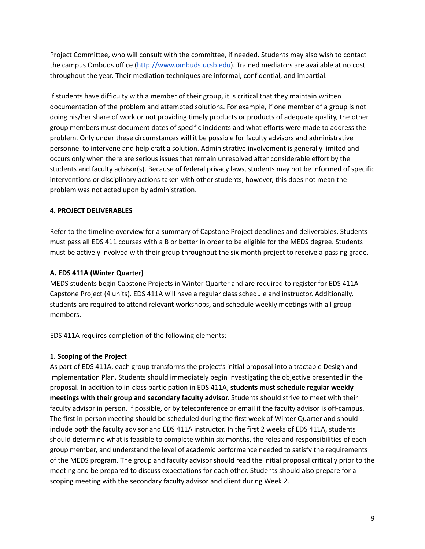Project Committee, who will consult with the committee, if needed. Students may also wish to contact the campus Ombuds office [\(http://www.ombuds.ucsb.edu](http://www.ombuds.ucsb.edu)). Trained mediators are available at no cost throughout the year. Their mediation techniques are informal, confidential, and impartial.

If students have difficulty with a member of their group, it is critical that they maintain written documentation of the problem and attempted solutions. For example, if one member of a group is not doing his/her share of work or not providing timely products or products of adequate quality, the other group members must document dates of specific incidents and what efforts were made to address the problem. Only under these circumstances will it be possible for faculty advisors and administrative personnel to intervene and help craft a solution. Administrative involvement is generally limited and occurs only when there are serious issues that remain unresolved after considerable effort by the students and faculty advisor(s). Because of federal privacy laws, students may not be informed of specific interventions or disciplinary actions taken with other students; however, this does not mean the problem was not acted upon by administration.

### **4. PROJECT DELIVERABLES**

Refer to the timeline overview for a summary of Capstone Project deadlines and deliverables. Students must pass all EDS 411 courses with a B or better in order to be eligible for the MEDS degree. Students must be actively involved with their group throughout the six-month project to receive a passing grade.

### **A. EDS 411A (Winter Quarter)**

MEDS students begin Capstone Projects in Winter Quarter and are required to register for EDS 411A Capstone Project (4 units). EDS 411A will have a regular class schedule and instructor. Additionally, students are required to attend relevant workshops, and schedule weekly meetings with all group members.

EDS 411A requires completion of the following elements:

#### **1. Scoping of the Project**

As part of EDS 411A, each group transforms the project's initial proposal into a tractable Design and Implementation Plan. Students should immediately begin investigating the objective presented in the proposal. In addition to in-class participation in EDS 411A, **students must schedule regular weekly meetings with their group and secondary faculty advisor.** Students should strive to meet with their faculty advisor in person, if possible, or by teleconference or email if the faculty advisor is off-campus. The first in-person meeting should be scheduled during the first week of Winter Quarter and should include both the faculty advisor and EDS 411A instructor. In the first 2 weeks of EDS 411A, students should determine what is feasible to complete within six months, the roles and responsibilities of each group member, and understand the level of academic performance needed to satisfy the requirements of the MEDS program. The group and faculty advisor should read the initial proposal critically prior to the meeting and be prepared to discuss expectations for each other. Students should also prepare for a scoping meeting with the secondary faculty advisor and client during Week 2.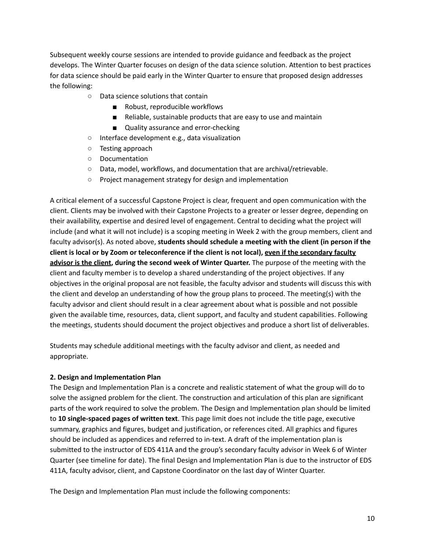Subsequent weekly course sessions are intended to provide guidance and feedback as the project develops. The Winter Quarter focuses on design of the data science solution. Attention to best practices for data science should be paid early in the Winter Quarter to ensure that proposed design addresses the following:

- Data science solutions that contain
	- Robust, reproducible workflows
	- Reliable, sustainable products that are easy to use and maintain
	- Quality assurance and error-checking
- Interface development e.g., data visualization
- Testing approach
- Documentation
- Data, model, workflows, and documentation that are archival/retrievable.
- Project management strategy for design and implementation

A critical element of a successful Capstone Project is clear, frequent and open communication with the client. Clients may be involved with their Capstone Projects to a greater or lesser degree, depending on their availability, expertise and desired level of engagement. Central to deciding what the project will include (and what it will not include) is a scoping meeting in Week 2 with the group members, client and faculty advisor(s). As noted above, **students should schedule a meeting with the client (in person if the** client is local or by Zoom or teleconference if the client is not local), even if the secondary faculty **advisor is the client, during the second week of Winter Quarter.** The purpose of the meeting with the client and faculty member is to develop a shared understanding of the project objectives. If any objectives in the original proposal are not feasible, the faculty advisor and students will discuss this with the client and develop an understanding of how the group plans to proceed. The meeting(s) with the faculty advisor and client should result in a clear agreement about what is possible and not possible given the available time, resources, data, client support, and faculty and student capabilities. Following the meetings, students should document the project objectives and produce a short list of deliverables.

Students may schedule additional meetings with the faculty advisor and client, as needed and appropriate.

#### **2. Design and Implementation Plan**

The Design and Implementation Plan is a concrete and realistic statement of what the group will do to solve the assigned problem for the client. The construction and articulation of this plan are significant parts of the work required to solve the problem. The Design and Implementation plan should be limited to **10 single-spaced pages of written text**. This page limit does not include the title page, executive summary, graphics and figures, budget and justification, or references cited. All graphics and figures should be included as appendices and referred to in-text. A draft of the implementation plan is submitted to the instructor of EDS 411A and the group's secondary faculty advisor in Week 6 of Winter Quarter (see timeline for date). The final Design and Implementation Plan is due to the instructor of EDS 411A, faculty advisor, client, and Capstone Coordinator on the last day of Winter Quarter.

The Design and Implementation Plan must include the following components: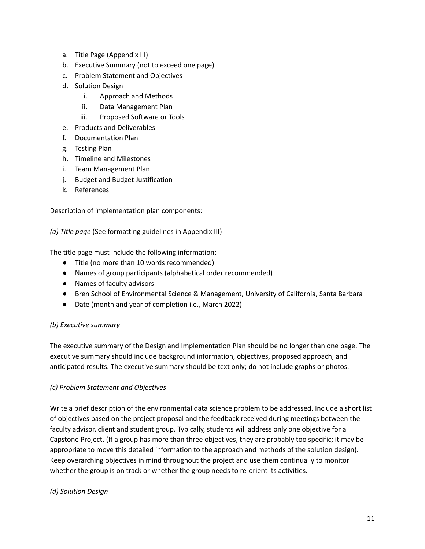- a. Title Page (Appendix III)
- b. Executive Summary (not to exceed one page)
- c. Problem Statement and Objectives
- d. Solution Design
	- i. Approach and Methods
	- ii. Data Management Plan
	- iii. Proposed Software or Tools
- e. Products and Deliverables
- f. Documentation Plan
- g. Testing Plan
- h. Timeline and Milestones
- i. Team Management Plan
- j. Budget and Budget Justification
- k. References

Description of implementation plan components:

*(a) Title page* (See formatting guidelines in Appendix III)

The title page must include the following information:

- Title (no more than 10 words recommended)
- Names of group participants (alphabetical order recommended)
- Names of faculty advisors
- Bren School of Environmental Science & Management, University of California, Santa Barbara
- Date (month and year of completion i.e., March 2022)

#### *(b) Executive summary*

The executive summary of the Design and Implementation Plan should be no longer than one page. The executive summary should include background information, objectives, proposed approach, and anticipated results. The executive summary should be text only; do not include graphs or photos.

#### *(c) Problem Statement and Objectives*

Write a brief description of the environmental data science problem to be addressed. Include a short list of objectives based on the project proposal and the feedback received during meetings between the faculty advisor, client and student group. Typically, students will address only one objective for a Capstone Project. (If a group has more than three objectives, they are probably too specific; it may be appropriate to move this detailed information to the approach and methods of the solution design). Keep overarching objectives in mind throughout the project and use them continually to monitor whether the group is on track or whether the group needs to re-orient its activities.

#### *(d) Solution Design*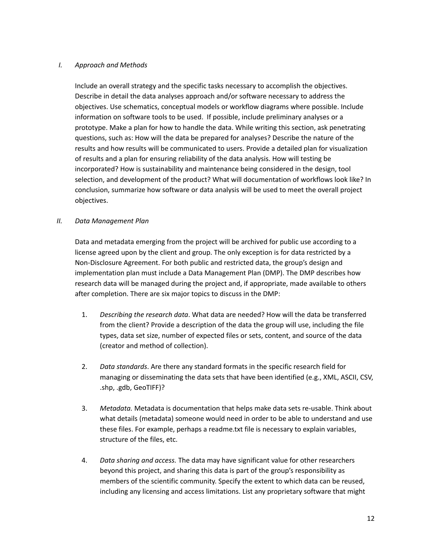### *I. Approach and Methods*

Include an overall strategy and the specific tasks necessary to accomplish the objectives. Describe in detail the data analyses approach and/or software necessary to address the objectives. Use schematics, conceptual models or workflow diagrams where possible. Include information on software tools to be used. If possible, include preliminary analyses or a prototype. Make a plan for how to handle the data. While writing this section, ask penetrating questions, such as: How will the data be prepared for analyses? Describe the nature of the results and how results will be communicated to users. Provide a detailed plan for visualization of results and a plan for ensuring reliability of the data analysis. How will testing be incorporated? How is sustainability and maintenance being considered in the design, tool selection, and development of the product? What will documentation of workflows look like? In conclusion, summarize how software or data analysis will be used to meet the overall project objectives.

### *II. Data Management Plan*

Data and metadata emerging from the project will be archived for public use according to a license agreed upon by the client and group. The only exception is for data restricted by a Non-Disclosure Agreement. For both public and restricted data, the group's design and implementation plan must include a Data Management Plan (DMP). The DMP describes how research data will be managed during the project and, if appropriate, made available to others after completion. There are six major topics to discuss in the DMP:

- 1. *Describing the research data*. What data are needed? How will the data be transferred from the client? Provide a description of the data the group will use, including the file types, data set size, number of expected files or sets, content, and source of the data (creator and method of collection).
- 2. *Data standards*. Are there any standard formats in the specific research field for managing or disseminating the data sets that have been identified (e.g., XML, ASCII, CSV, .shp, .gdb, GeoTIFF)?
- 3. *Metadata.* Metadata is documentation that helps make data sets re-usable. Think about what details (metadata) someone would need in order to be able to understand and use these files. For example, perhaps a readme.txt file is necessary to explain variables, structure of the files, etc.
- 4. *Data sharing and access.* The data may have significant value for other researchers beyond this project, and sharing this data is part of the group's responsibility as members of the scientific community. Specify the extent to which data can be reused, including any licensing and access limitations. List any proprietary software that might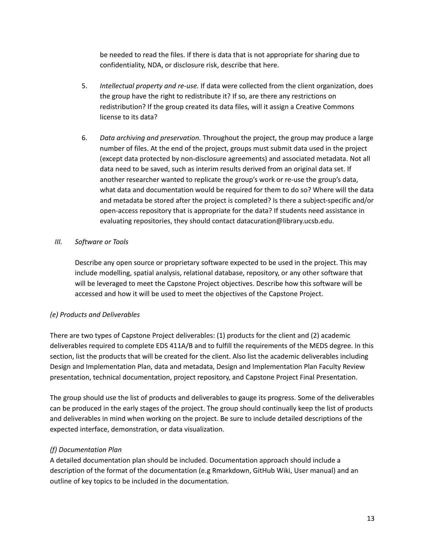be needed to read the files. If there is data that is not appropriate for sharing due to confidentiality, NDA, or disclosure risk, describe that here.

- 5. *Intellectual property and re-use.* If data were collected from the client organization, does the group have the right to redistribute it? If so, are there any restrictions on redistribution? If the group created its data files, will it assign a Creative Commons license to its data?
- 6. *Data archiving and preservation.* Throughout the project, the group may produce a large number of files. At the end of the project, groups must submit data used in the project (except data protected by non-disclosure agreements) and associated metadata. Not all data need to be saved, such as interim results derived from an original data set. If another researcher wanted to replicate the group's work or re-use the group's data, what data and documentation would be required for them to do so? Where will the data and metadata be stored after the project is completed? Is there a subject-specific and/or open-access repository that is appropriate for the data? If students need assistance in evaluating repositories, they should contact datacuration@library.ucsb.edu.

# *III. Software or Tools*

Describe any open source or proprietary software expected to be used in the project. This may include modelling, spatial analysis, relational database, repository, or any other software that will be leveraged to meet the Capstone Project objectives. Describe how this software will be accessed and how it will be used to meet the objectives of the Capstone Project.

# *(e) Products and Deliverables*

There are two types of Capstone Project deliverables: (1) products for the client and (2) academic deliverables required to complete EDS 411A/B and to fulfill the requirements of the MEDS degree. In this section, list the products that will be created for the client. Also list the academic deliverables including Design and Implementation Plan, data and metadata, Design and Implementation Plan Faculty Review presentation, technical documentation, project repository, and Capstone Project Final Presentation.

The group should use the list of products and deliverables to gauge its progress. Some of the deliverables can be produced in the early stages of the project. The group should continually keep the list of products and deliverables in mind when working on the project. Be sure to include detailed descriptions of the expected interface, demonstration, or data visualization.

# *(f) Documentation Plan*

A detailed documentation plan should be included. Documentation approach should include a description of the format of the documentation (e.g Rmarkdown, GitHub Wiki, User manual) and an outline of key topics to be included in the documentation.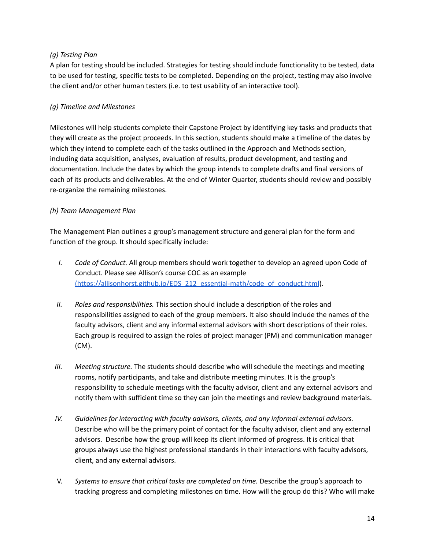# *(g) Testing Plan*

A plan for testing should be included. Strategies for testing should include functionality to be tested, data to be used for testing, specific tests to be completed. Depending on the project, testing may also involve the client and/or other human testers (i.e. to test usability of an interactive tool).

# *(g) Timeline and Milestones*

Milestones will help students complete their Capstone Project by identifying key tasks and products that they will create as the project proceeds. In this section, students should make a timeline of the dates by which they intend to complete each of the tasks outlined in the Approach and Methods section, including data acquisition, analyses, evaluation of results, product development, and testing and documentation. Include the dates by which the group intends to complete drafts and final versions of each of its products and deliverables. At the end of Winter Quarter, students should review and possibly re-organize the remaining milestones.

# *(h) Team Management Plan*

The Management Plan outlines a group's management structure and general plan for the form and function of the group. It should specifically include:

- *I. Code of Conduct.* All group members should work together to develop an agreed upon Code of Conduct. Please see Allison's course COC as an example [\(https://allisonhorst.github.io/EDS\\_212\\_essential-math/code\\_of\\_conduct.html](https://allisonhorst.github.io/EDS_212_essential-math/code_of_conduct.html)).
- *II. Roles and responsibilities.* This section should include a description of the roles and responsibilities assigned to each of the group members. It also should include the names of the faculty advisors, client and any informal external advisors with short descriptions of their roles. Each group is required to assign the roles of project manager (PM) and communication manager (CM).
- *III. Meeting structure.* The students should describe who will schedule the meetings and meeting rooms, notify participants, and take and distribute meeting minutes. It is the group's responsibility to schedule meetings with the faculty advisor, client and any external advisors and notify them with sufficient time so they can join the meetings and review background materials.
- *IV. Guidelines for interacting with faculty advisors, clients, and any informal external advisors.* Describe who will be the primary point of contact for the faculty advisor, client and any external advisors. Describe how the group will keep its client informed of progress. It is critical that groups always use the highest professional standards in their interactions with faculty advisors, client, and any external advisors.
- V. *Systems to ensure that critical tasks are completed on time.* Describe the group's approach to tracking progress and completing milestones on time. How will the group do this? Who will make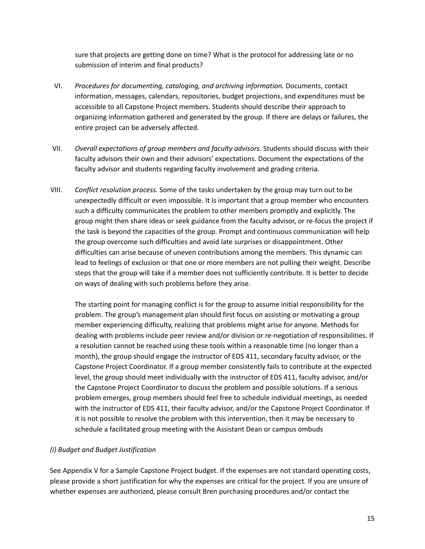sure that projects are getting done on time? What is the protocol for addressing late or no submission of interim and final products?

- VI. *Procedures for documenting, cataloging, and archiving information.* Documents, contact information, messages, calendars, repositories, budget projections, and expenditures must be accessible to all Capstone Project members. Students should describe their approach to organizing information gathered and generated by the group. If there are delays or failures, the entire project can be adversely affected.
- VII. *Overall expectations of group members and faculty advisors.* Students should discuss with their faculty advisors their own and their advisors' expectations. Document the expectations of the faculty advisor and students regarding faculty involvement and grading criteria.
- VIII. *Conflict resolution process.* Some of the tasks undertaken by the group may turn out to be unexpectedly difficult or even impossible. It is important that a group member who encounters such a difficulty communicates the problem to other members promptly and explicitly. The group might then share ideas or seek guidance from the faculty advisor, or re-focus the project if the task is beyond the capacities of the group. Prompt and continuous communication will help the group overcome such difficulties and avoid late surprises or disappointment. Other difficulties can arise because of uneven contributions among the members. This dynamic can lead to feelings of exclusion or that one or more members are not pulling their weight. Describe steps that the group will take if a member does not sufficiently contribute. It is better to decide on ways of dealing with such problems before they arise.

The starting point for managing conflict is for the group to assume initial responsibility for the problem. The group's management plan should first focus on assisting or motivating a group member experiencing difficulty, realizing that problems might arise for anyone. Methods for dealing with problems include peer review and/or division or re-negotiation of responsibilities. If a resolution cannot be reached using these tools within a reasonable time (no longer than a month), the group should engage the instructor of EDS 411, secondary faculty advisor, or the Capstone Project Coordinator. If a group member consistently fails to contribute at the expected level, the group should meet individually with the instructor of EDS 411, faculty advisor, and/or the Capstone Project Coordinator to discuss the problem and possible solutions. If a serious problem emerges, group members should feel free to schedule individual meetings, as needed with the instructor of EDS 411, their faculty advisor, and/or the Capstone Project Coordinator. If it is not possible to resolve the problem with this intervention, then it may be necessary to schedule a facilitated group meeting with the Assistant Dean or campus ombuds

# *(i) Budget and Budget Justification*

See Appendix V for a Sample Capstone Project budget. If the expenses are not standard operating costs, please provide a short justification for why the expenses are critical for the project. If you are unsure of whether expenses are authorized, please consult Bren purchasing procedures and/or contact the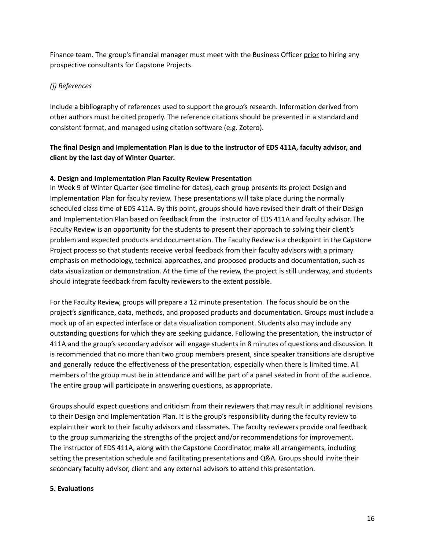Finance team. The group's financial manager must meet with the Business Officer prior to hiring any prospective consultants for Capstone Projects.

# *(j) References*

Include a bibliography of references used to support the group's research. Information derived from other authors must be cited properly. The reference citations should be presented in a standard and consistent format, and managed using citation software (e.g. Zotero).

# **The final Design and Implementation Plan is due to the instructor of EDS 411A, faculty advisor, and client by the last day of Winter Quarter.**

### **4. Design and Implementation Plan Faculty Review Presentation**

In Week 9 of Winter Quarter (see timeline for dates), each group presents its project Design and Implementation Plan for faculty review. These presentations will take place during the normally scheduled class time of EDS 411A. By this point, groups should have revised their draft of their Design and Implementation Plan based on feedback from the instructor of EDS 411A and faculty advisor. The Faculty Review is an opportunity for the students to present their approach to solving their client's problem and expected products and documentation. The Faculty Review is a checkpoint in the Capstone Project process so that students receive verbal feedback from their faculty advisors with a primary emphasis on methodology, technical approaches, and proposed products and documentation, such as data visualization or demonstration. At the time of the review, the project is still underway, and students should integrate feedback from faculty reviewers to the extent possible.

For the Faculty Review, groups will prepare a 12 minute presentation. The focus should be on the project's significance, data, methods, and proposed products and documentation. Groups must include a mock up of an expected interface or data visualization component. Students also may include any outstanding questions for which they are seeking guidance. Following the presentation, the instructor of 411A and the group's secondary advisor will engage students in 8 minutes of questions and discussion. It is recommended that no more than two group members present, since speaker transitions are disruptive and generally reduce the effectiveness of the presentation, especially when there is limited time. All members of the group must be in attendance and will be part of a panel seated in front of the audience. The entire group will participate in answering questions, as appropriate.

Groups should expect questions and criticism from their reviewers that may result in additional revisions to their Design and Implementation Plan. It is the group's responsibility during the faculty review to explain their work to their faculty advisors and classmates. The faculty reviewers provide oral feedback to the group summarizing the strengths of the project and/or recommendations for improvement. The instructor of EDS 411A, along with the Capstone Coordinator, make all arrangements, including setting the presentation schedule and facilitating presentations and Q&A. Groups should invite their secondary faculty advisor, client and any external advisors to attend this presentation.

#### **5. Evaluations**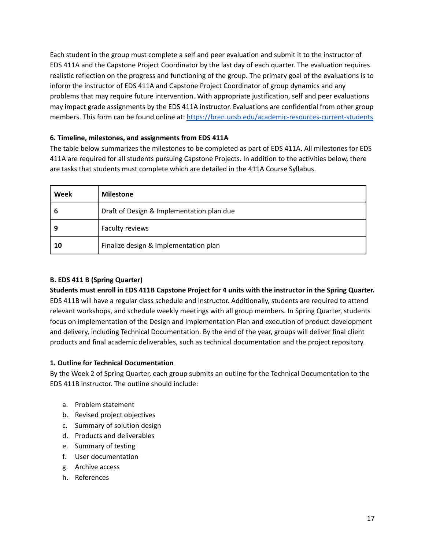Each student in the group must complete a self and peer evaluation and submit it to the instructor of EDS 411A and the Capstone Project Coordinator by the last day of each quarter. The evaluation requires realistic reflection on the progress and functioning of the group. The primary goal of the evaluations is to inform the instructor of EDS 411A and Capstone Project Coordinator of group dynamics and any problems that may require future intervention. With appropriate justification, self and peer evaluations may impact grade assignments by the EDS 411A instructor. Evaluations are confidential from other group members. This form can be found online at: <https://bren.ucsb.edu/academic-resources-current-students>

# **6. Timeline, milestones, and assignments from EDS 411A**

The table below summarizes the milestones to be completed as part of EDS 411A. All milestones for EDS 411A are required for all students pursuing Capstone Projects. In addition to the activities below, there are tasks that students must complete which are detailed in the 411A Course Syllabus.

| Week | <b>Milestone</b>                          |
|------|-------------------------------------------|
| b    | Draft of Design & Implementation plan due |
| 9    | Faculty reviews                           |
| 10   | Finalize design & Implementation plan     |

# **B. EDS 411 B (Spring Quarter)**

Students must enroll in EDS 411B Capstone Project for 4 units with the instructor in the Spring Quarter. EDS 411B will have a regular class schedule and instructor. Additionally, students are required to attend relevant workshops, and schedule weekly meetings with all group members. In Spring Quarter, students focus on implementation of the Design and Implementation Plan and execution of product development and delivery, including Technical Documentation. By the end of the year, groups will deliver final client products and final academic deliverables, such as technical documentation and the project repository.

# **1. Outline for Technical Documentation**

By the Week 2 of Spring Quarter, each group submits an outline for the Technical Documentation to the EDS 411B instructor. The outline should include:

- a. Problem statement
- b. Revised project objectives
- c. Summary of solution design
- d. Products and deliverables
- e. Summary of testing
- f. User documentation
- g. Archive access
- h. References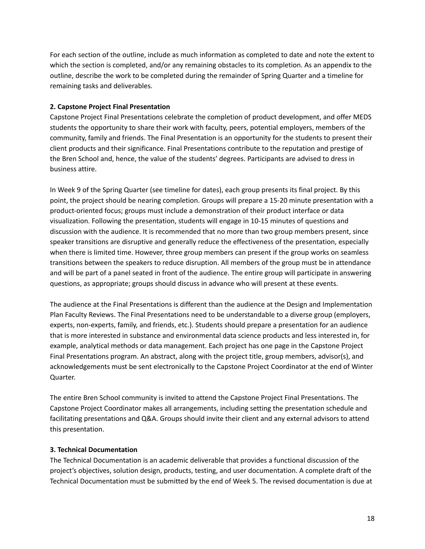For each section of the outline, include as much information as completed to date and note the extent to which the section is completed, and/or any remaining obstacles to its completion. As an appendix to the outline, describe the work to be completed during the remainder of Spring Quarter and a timeline for remaining tasks and deliverables.

### **2. Capstone Project Final Presentation**

Capstone Project Final Presentations celebrate the completion of product development, and offer MEDS students the opportunity to share their work with faculty, peers, potential employers, members of the community, family and friends. The Final Presentation is an opportunity for the students to present their client products and their significance. Final Presentations contribute to the reputation and prestige of the Bren School and, hence, the value of the students' degrees. Participants are advised to dress in business attire.

In Week 9 of the Spring Quarter (see timeline for dates), each group presents its final project. By this point, the project should be nearing completion. Groups will prepare a 15-20 minute presentation with a product-oriented focus; groups must include a demonstration of their product interface or data visualization. Following the presentation, students will engage in 10-15 minutes of questions and discussion with the audience. It is recommended that no more than two group members present, since speaker transitions are disruptive and generally reduce the effectiveness of the presentation, especially when there is limited time. However, three group members can present if the group works on seamless transitions between the speakers to reduce disruption. All members of the group must be in attendance and will be part of a panel seated in front of the audience. The entire group will participate in answering questions, as appropriate; groups should discuss in advance who will present at these events.

The audience at the Final Presentations is different than the audience at the Design and Implementation Plan Faculty Reviews. The Final Presentations need to be understandable to a diverse group (employers, experts, non-experts, family, and friends, etc.). Students should prepare a presentation for an audience that is more interested in substance and environmental data science products and less interested in, for example, analytical methods or data management. Each project has one page in the Capstone Project Final Presentations program. An abstract, along with the project title, group members, advisor(s), and acknowledgements must be sent electronically to the Capstone Project Coordinator at the end of Winter Quarter.

The entire Bren School community is invited to attend the Capstone Project Final Presentations. The Capstone Project Coordinator makes all arrangements, including setting the presentation schedule and facilitating presentations and Q&A. Groups should invite their client and any external advisors to attend this presentation.

#### **3. Technical Documentation**

The Technical Documentation is an academic deliverable that provides a functional discussion of the project's objectives, solution design, products, testing, and user documentation. A complete draft of the Technical Documentation must be submitted by the end of Week 5. The revised documentation is due at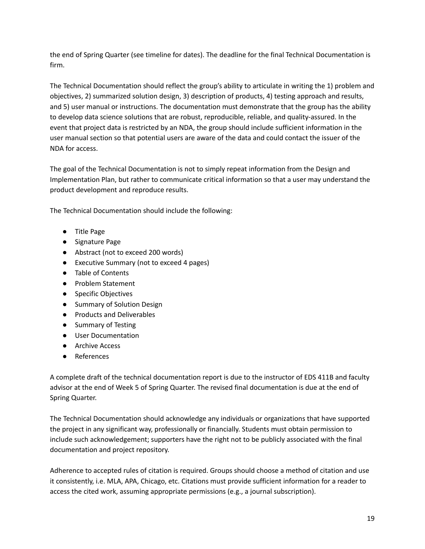the end of Spring Quarter (see timeline for dates). The deadline for the final Technical Documentation is firm.

The Technical Documentation should reflect the group's ability to articulate in writing the 1) problem and objectives, 2) summarized solution design, 3) description of products, 4) testing approach and results, and 5) user manual or instructions. The documentation must demonstrate that the group has the ability to develop data science solutions that are robust, reproducible, reliable, and quality-assured. In the event that project data is restricted by an NDA, the group should include sufficient information in the user manual section so that potential users are aware of the data and could contact the issuer of the NDA for access.

The goal of the Technical Documentation is not to simply repeat information from the Design and Implementation Plan, but rather to communicate critical information so that a user may understand the product development and reproduce results.

The Technical Documentation should include the following:

- Title Page
- Signature Page
- Abstract (not to exceed 200 words)
- Executive Summary (not to exceed 4 pages)
- Table of Contents
- Problem Statement
- Specific Objectives
- Summary of Solution Design
- Products and Deliverables
- Summary of Testing
- User Documentation
- Archive Access
- References

A complete draft of the technical documentation report is due to the instructor of EDS 411B and faculty advisor at the end of Week 5 of Spring Quarter. The revised final documentation is due at the end of Spring Quarter.

The Technical Documentation should acknowledge any individuals or organizations that have supported the project in any significant way, professionally or financially. Students must obtain permission to include such acknowledgement; supporters have the right not to be publicly associated with the final documentation and project repository.

Adherence to accepted rules of citation is required. Groups should choose a method of citation and use it consistently, i.e. MLA, APA, Chicago, etc. Citations must provide sufficient information for a reader to access the cited work, assuming appropriate permissions (e.g., a journal subscription).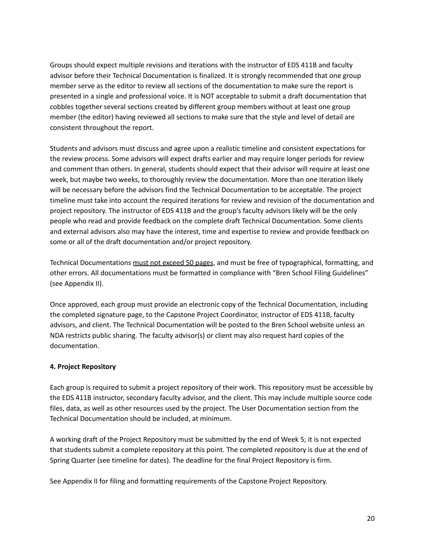Groups should expect multiple revisions and iterations with the instructor of EDS 411B and faculty advisor before their Technical Documentation is finalized. It is strongly recommended that one group member serve as the editor to review all sections of the documentation to make sure the report is presented in a single and professional voice. It is NOT acceptable to submit a draft documentation that cobbles together several sections created by different group members without at least one group member (the editor) having reviewed all sections to make sure that the style and level of detail are consistent throughout the report.

Students and advisors must discuss and agree upon a realistic timeline and consistent expectations for the review process. Some advisors will expect drafts earlier and may require longer periods for review and comment than others. In general, students should expect that their advisor will require at least one week, but maybe two weeks, to thoroughly review the documentation. More than one iteration likely will be necessary before the advisors find the Technical Documentation to be acceptable. The project timeline must take into account the required iterations for review and revision of the documentation and project repository. The instructor of EDS 411B and the group's faculty advisors likely will be the only people who read and provide feedback on the complete draft Technical Documentation. Some clients and external advisors also may have the interest, time and expertise to review and provide feedback on some or all of the draft documentation and/or project repository.

Technical Documentations must not exceed 50 pages, and must be free of typographical, formatting, and other errors. All documentations must be formatted in compliance with "Bren School Filing Guidelines" (see Appendix II).

Once approved, each group must provide an electronic copy of the Technical Documentation, including the completed signature page, to the Capstone Project Coordinator, instructor of EDS 411B, faculty advisors, and client. The Technical Documentation will be posted to the Bren School website unless an NDA restricts public sharing. The faculty advisor(s) or client may also request hard copies of the documentation.

# **4. Project Repository**

Each group is required to submit a project repository of their work. This repository must be accessible by the EDS 411B instructor, secondary faculty advisor, and the client. This may include multiple source code files, data, as well as other resources used by the project. The User Documentation section from the Technical Documentation should be included, at minimum.

A working draft of the Project Repository must be submitted by the end of Week 5; it is not expected that students submit a complete repository at this point. The completed repository is due at the end of Spring Quarter (see timeline for dates). The deadline for the final Project Repository is firm.

See Appendix II for filing and formatting requirements of the Capstone Project Repository.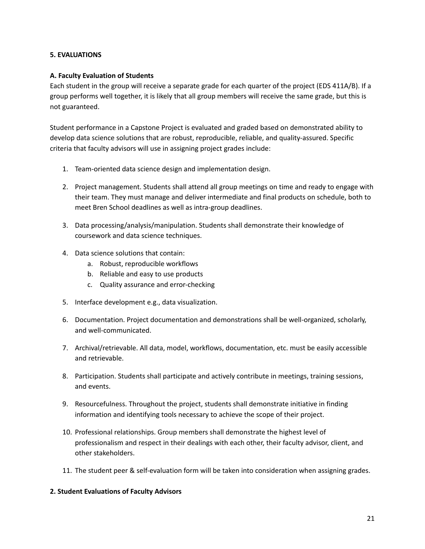### **5. EVALUATIONS**

### **A. Faculty Evaluation of Students**

Each student in the group will receive a separate grade for each quarter of the project (EDS 411A/B). If a group performs well together, it is likely that all group members will receive the same grade, but this is not guaranteed.

Student performance in a Capstone Project is evaluated and graded based on demonstrated ability to develop data science solutions that are robust, reproducible, reliable, and quality-assured. Specific criteria that faculty advisors will use in assigning project grades include:

- 1. Team-oriented data science design and implementation design.
- 2. Project management. Students shall attend all group meetings on time and ready to engage with their team. They must manage and deliver intermediate and final products on schedule, both to meet Bren School deadlines as well as intra-group deadlines.
- 3. Data processing/analysis/manipulation. Students shall demonstrate their knowledge of coursework and data science techniques.
- 4. Data science solutions that contain:
	- a. Robust, reproducible workflows
	- b. Reliable and easy to use products
	- c. Quality assurance and error-checking
- 5. Interface development e.g., data visualization.
- 6. Documentation. Project documentation and demonstrations shall be well-organized, scholarly, and well-communicated.
- 7. Archival/retrievable. All data, model, workflows, documentation, etc. must be easily accessible and retrievable.
- 8. Participation. Students shall participate and actively contribute in meetings, training sessions, and events.
- 9. Resourcefulness. Throughout the project, students shall demonstrate initiative in finding information and identifying tools necessary to achieve the scope of their project.
- 10. Professional relationships. Group members shall demonstrate the highest level of professionalism and respect in their dealings with each other, their faculty advisor, client, and other stakeholders.
- 11. The student peer & self-evaluation form will be taken into consideration when assigning grades.

#### **2. Student Evaluations of Faculty Advisors**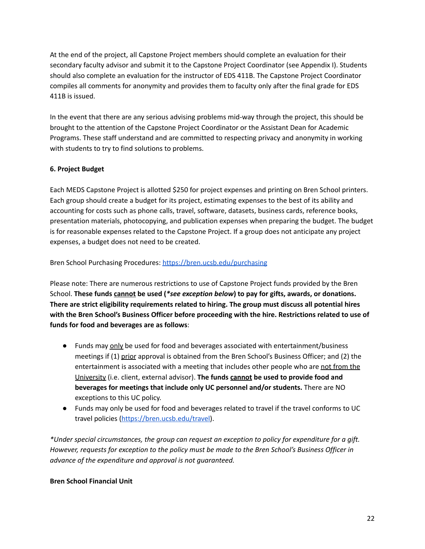At the end of the project, all Capstone Project members should complete an evaluation for their secondary faculty advisor and submit it to the Capstone Project Coordinator (see Appendix I). Students should also complete an evaluation for the instructor of EDS 411B. The Capstone Project Coordinator compiles all comments for anonymity and provides them to faculty only after the final grade for EDS 411B is issued.

In the event that there are any serious advising problems mid-way through the project, this should be brought to the attention of the Capstone Project Coordinator or the Assistant Dean for Academic Programs. These staff understand and are committed to respecting privacy and anonymity in working with students to try to find solutions to problems.

# **6. Project Budget**

Each MEDS Capstone Project is allotted \$250 for project expenses and printing on Bren School printers. Each group should create a budget for its project, estimating expenses to the best of its ability and accounting for costs such as phone calls, travel, software, datasets, business cards, reference books, presentation materials, photocopying, and publication expenses when preparing the budget. The budget is for reasonable expenses related to the Capstone Project. If a group does not anticipate any project expenses, a budget does not need to be created.

Bren School Purchasing Procedures: <https://bren.ucsb.edu/purchasing>

Please note: There are numerous restrictions to use of Capstone Project funds provided by the Bren School. **These funds cannot be used (***\*see exception below***) to pay for gifts, awards, or donations. There are strict eligibility requirements related to hiring. The group must discuss all potential hires with the Bren School's Business Officer before proceeding with the hire. Restrictions related to use of funds for food and beverages are as follows**:

- Funds may only be used for food and beverages associated with entertainment/business meetings if (1) prior approval is obtained from the Bren School's Business Officer; and (2) the entertainment is associated with a meeting that includes other people who are not from the University (i.e. client, external advisor). **The funds cannot be used to provide food and beverages for meetings that include only UC personnel and/or students.** There are NO exceptions to this UC policy.
- Funds may only be used for food and beverages related to travel if the travel conforms to UC travel policies [\(https://bren.ucsb.edu/travel\)](https://bren.ucsb.edu/travel).

*\*Under special circumstances, the group can request an exception to policy for expenditure for a gift. However, requests for exception to the policy must be made to the Bren School's Business Officer in advance of the expenditure and approval is not guaranteed.*

# **Bren School Financial Unit**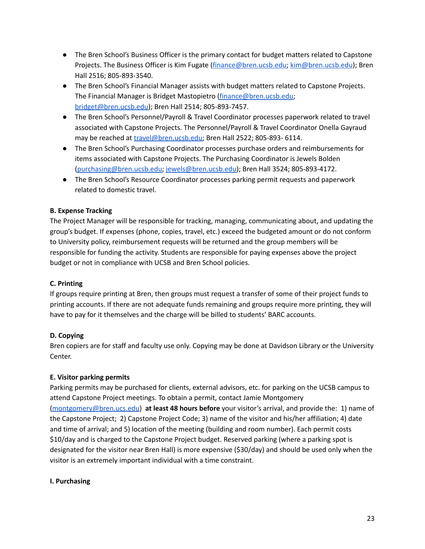- The Bren School's Business Officer is the primary contact for budget matters related to Capstone Projects. The Business Officer is Kim Fugate ([finance@bren.ucsb.edu;](mailto:finance@bren.ucsb.edu) [kim@bren.ucsb.edu](mailto:kim@bren.ucsb.edu)); Bren Hall 2516; 805-893-3540.
- The Bren School's Financial Manager assists with budget matters related to Capstone Projects. The Financial Manager is Bridget Mastopietro [\(finance@bren.ucsb.edu;](mailto:finance@bren.ucsb.edu) [bridget@bren.ucsb.edu\)](mailto:bridget@bren.ucsb.edu); Bren Hall 2514; 805-893-7457.
- The Bren School's Personnel/Payroll & Travel Coordinator processes paperwork related to travel associated with Capstone Projects. The Personnel/Payroll & Travel Coordinator Onella Gayraud may be reached at [travel@bren.ucsb.edu;](mailto:travel@bren.ucsb.edu) Bren Hall 2522; 805-893- 6114.
- The Bren School's Purchasing Coordinator processes purchase orders and reimbursements for items associated with Capstone Projects. The Purchasing Coordinator is Jewels Bolden [\(purchasing@bren.ucsb.edu;](mailto:purchasing@bren.ucsb.edu) [jewels@bren.ucsb.edu\)](mailto:jewels@bren.ucsb.edu); Bren Hall 3524; 805-893-4172.
- The Bren School's Resource Coordinator processes parking permit requests and paperwork related to domestic travel.

# **B. Expense Tracking**

The Project Manager will be responsible for tracking, managing, communicating about, and updating the group's budget. If expenses (phone, copies, travel, etc.) exceed the budgeted amount or do not conform to University policy, reimbursement requests will be returned and the group members will be responsible for funding the activity. Students are responsible for paying expenses above the project budget or not in compliance with UCSB and Bren School policies.

# **C. Printing**

If groups require printing at Bren, then groups must request a transfer of some of their project funds to printing accounts. If there are not adequate funds remaining and groups require more printing, they will have to pay for it themselves and the charge will be billed to students' BARC accounts.

# **D. Copying**

Bren copiers are for staff and faculty use only. Copying may be done at Davidson Library or the University Center.

# **E. Visitor parking permits**

Parking permits may be purchased for clients, external advisors, etc. for parking on the UCSB campus to attend Capstone Project meetings. To obtain a permit, contact Jamie Montgomery [\(montgomery@bren.ucs.edu](mailto:montgomery@bren.ucs.edu)) **at least 48 hours before** your visitor's arrival, and provide the: 1) name of the Capstone Project; 2) Capstone Project Code; 3) name of the visitor and his/her affiliation; 4) date and time of arrival; and 5) location of the meeting (building and room number). Each permit costs \$10/day and is charged to the Capstone Project budget. Reserved parking (where a parking spot is designated for the visitor near Bren Hall) is more expensive (\$30/day) and should be used only when the visitor is an extremely important individual with a time constraint.

# **I. Purchasing**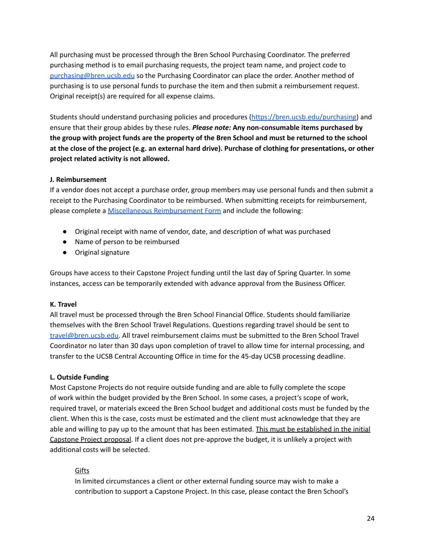All purchasing must be processed through the Bren School Purchasing Coordinator. The preferred purchasing method is to email purchasing requests, the project team name, and project code to [purchasing@bren.ucsb.edu](mailto:purchasing@bren.ucsb.edu) so the Purchasing Coordinator can place the order. Another method of purchasing is to use personal funds to purchase the item and then submit a reimbursement request. Original receipt(s) are required for all expense claims.

Students should understand purchasing policies and procedures [\(https://bren.ucsb.edu/purchasing](https://bren.ucsb.edu/purchasing)) and ensure that their group abides by these rules. *Please note:* **Any non-consumable items purchased by** the group with project funds are the property of the Bren School and must be returned to the school at the close of the project (e.g. an external hard drive). Purchase of clothing for presentations, or other **project related activity is not allowed.**

### **J. Reimbursement**

If a vendor does not accept a purchase order, group members may use personal funds and then submit a receipt to the Purchasing Coordinator to be reimbursed. When submitting receipts for reimbursement, please complete a Miscellaneous [Reimbursement](https://powerforms.docusign.net/9a5a4e3c-d8f8-4c3a-9a5a-c9bdc6f76137?env=na3&acct=36d87d60-c882-4887-835a-bc389fb776dd) Form and include the following:

- Original receipt with name of vendor, date, and description of what was purchased
- Name of person to be reimbursed
- Original signature

Groups have access to their Capstone Project funding until the last day of Spring Quarter. In some instances, access can be temporarily extended with advance approval from the Business Officer.

#### **K. Travel**

All travel must be processed through the Bren School Financial Office. Students should familiarize themselves with the Bren School Travel Regulations. Questions regarding travel should be sent to [travel@bren.ucsb.edu.](mailto:travel@bren.ucsb.edu) All travel reimbursement claims must be submitted to the Bren School Travel Coordinator no later than 30 days upon completion of travel to allow time for internal processing, and transfer to the UCSB Central Accounting Office in time for the 45-day UCSB processing deadline.

#### **L. Outside Funding**

Most Capstone Projects do not require outside funding and are able to fully complete the scope of work within the budget provided by the Bren School. In some cases, a project's scope of work, required travel, or materials exceed the Bren School budget and additional costs must be funded by the client. When this is the case, costs must be estimated and the client must acknowledge that they are able and willing to pay up to the amount that has been estimated. This must be established in the initial Capstone Project proposal. If a client does not pre-approve the budget, it is unlikely a project with additional costs will be selected.

#### **Gifts**

In limited circumstances a client or other external funding source may wish to make a contribution to support a Capstone Project. In this case, please contact the Bren School's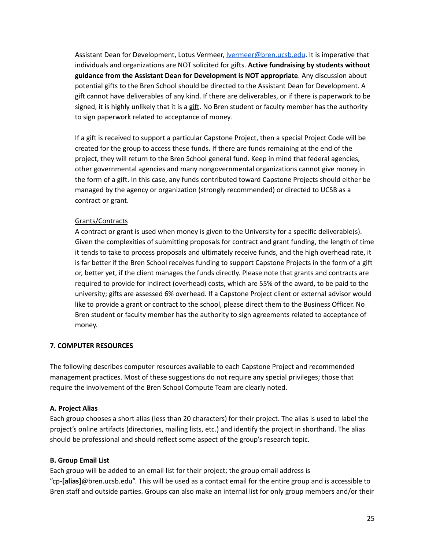Assistant Dean for Development, Lotus Vermeer, <u>Ivermeer@bren.ucsb.edu</u>. It is imperative that individuals and organizations are NOT solicited for gifts. **Active fundraising by students without guidance from the Assistant Dean for Development is NOT appropriate**. Any discussion about potential gifts to the Bren School should be directed to the Assistant Dean for Development. A gift cannot have deliverables of any kind. If there are deliverables, or if there is paperwork to be signed, it is highly unlikely that it is a gift. No Bren student or faculty member has the authority to sign paperwork related to acceptance of money.

If a gift is received to support a particular Capstone Project, then a special Project Code will be created for the group to access these funds. If there are funds remaining at the end of the project, they will return to the Bren School general fund. Keep in mind that federal agencies, other governmental agencies and many nongovernmental organizations cannot give money in the form of a gift. In this case, any funds contributed toward Capstone Projects should either be managed by the agency or organization (strongly recommended) or directed to UCSB as a contract or grant.

#### Grants/Contracts

A contract or grant is used when money is given to the University for a specific deliverable(s). Given the complexities of submitting proposals for contract and grant funding, the length of time it tends to take to process proposals and ultimately receive funds, and the high overhead rate, it is far better if the Bren School receives funding to support Capstone Projects in the form of a gift or, better yet, if the client manages the funds directly. Please note that grants and contracts are required to provide for indirect (overhead) costs, which are 55% of the award, to be paid to the university; gifts are assessed 6% overhead. If a Capstone Project client or external advisor would like to provide a grant or contract to the school, please direct them to the Business Officer. No Bren student or faculty member has the authority to sign agreements related to acceptance of money.

#### **7. COMPUTER RESOURCES**

The following describes computer resources available to each Capstone Project and recommended management practices. Most of these suggestions do not require any special privileges; those that require the involvement of the Bren School Compute Team are clearly noted.

#### **A. Project Alias**

Each group chooses a short alias (less than 20 characters) for their project. The alias is used to label the project's online artifacts (directories, mailing lists, etc.) and identify the project in shorthand. The alias should be professional and should reflect some aspect of the group's research topic.

#### **B. Group Email List**

Each group will be added to an email list for their project; the group email address is "cp-**[alias]**@bren.ucsb.edu". This will be used as a contact email for the entire group and is accessible to Bren staff and outside parties. Groups can also make an internal list for only group members and/or their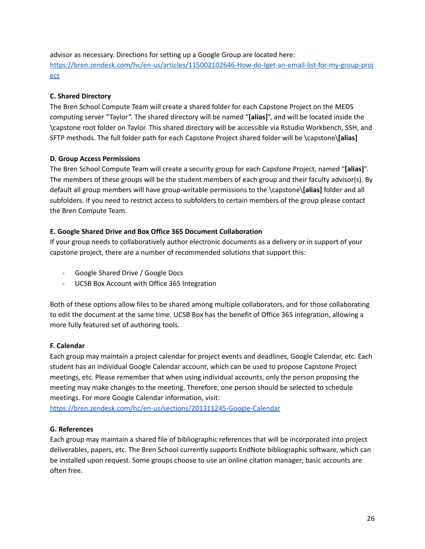advisor as necessary. Directions for setting up a Google Group are located here: [https://bren.zendesk.com/hc/en-us/articles/115002102646-How-do-Iget-an-email-list-for-my-group-proj](https://bren.zendesk.com/hc/en-us/articles/115002102646-How-do-Iget-an-email-list-for-my-group-project) [ect](https://bren.zendesk.com/hc/en-us/articles/115002102646-How-do-Iget-an-email-list-for-my-group-project)

# **C. Shared Directory**

The Bren School Compute Team will create a shared folder for each Capstone Project on the MEDS computing server "Taylor". The shared directory will be named "**[alias]**", and will be located inside the \capstone root folder on Taylor. This shared directory will be accessible via Rstudio Workbench, SSH, and SFTP methods. The full folder path for each Capstone Project shared folder will be \capstone\**[alias]**

# **D. Group Access Permissions**

The Bren School Compute Team will create a security group for each Capstone Project, named "**[alias]**". The members of these groups will be the student members of each group and their faculty advisor(s). By default all group members will have group-writable permissions to the \capstone\**[alias]** folder and all subfolders. If you need to restrict access to subfolders to certain members of the group please contact the Bren Compute Team.

# **E. Google Shared Drive and Box Office 365 Document Collaboration**

If your group needs to collaboratively author electronic documents as a delivery or in support of your capstone project, there are a number of recommended solutions that support this:

- Google Shared Drive / Google Docs
- UCSB Box Account with Office 365 Integration

Both of these options allow files to be shared among multiple collaborators, and for those collaborating to edit the document at the same time. UCSB Box has the benefit of Office 365 integration, allowing a more fully featured set of authoring tools.

# **F. Calendar**

Each group may maintain a project calendar for project events and deadlines, Google Calendar, etc. Each student has an individual Google Calendar account, which can be used to propose Capstone Project meetings, etc. Please remember that when using individual accounts, only the person proposing the meeting may make changes to the meeting. Therefore, one person should be selected to schedule meetings. For more Google Calendar information, visit:

<https://bren.zendesk.com/hc/en-us/sections/201311245-Google-Calendar>

# **G. References**

Each group may maintain a shared file of bibliographic references that will be incorporated into project deliverables, papers, etc. The Bren School currently supports EndNote bibliographic software, which can be installed upon request. Some groups choose to use an online citation manager; basic accounts are often free.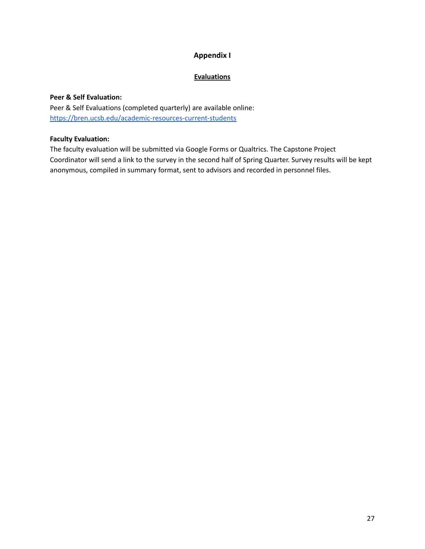# **Appendix I**

# **Evaluations**

# **Peer & Self Evaluation:**

Peer & Self Evaluations (completed quarterly) are available online: <https://bren.ucsb.edu/academic-resources-current-students>

### **Faculty Evaluation:**

The faculty evaluation will be submitted via Google Forms or Qualtrics. The Capstone Project Coordinator will send a link to the survey in the second half of Spring Quarter. Survey results will be kept anonymous, compiled in summary format, sent to advisors and recorded in personnel files.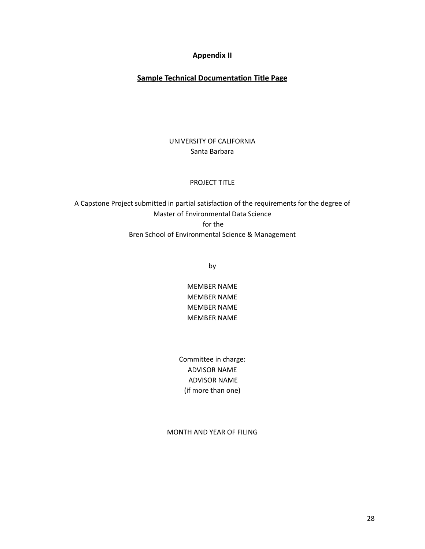# **Appendix II**

# **Sample Technical Documentation Title Page**

# UNIVERSITY OF CALIFORNIA Santa Barbara

### PROJECT TITLE

A Capstone Project submitted in partial satisfaction of the requirements for the degree of Master of Environmental Data Science for the Bren School of Environmental Science & Management

by

MEMBER NAME MEMBER NAME MEMBER NAME MEMBER NAME

Committee in charge: ADVISOR NAME ADVISOR NAME (if more than one)

MONTH AND YEAR OF FILING